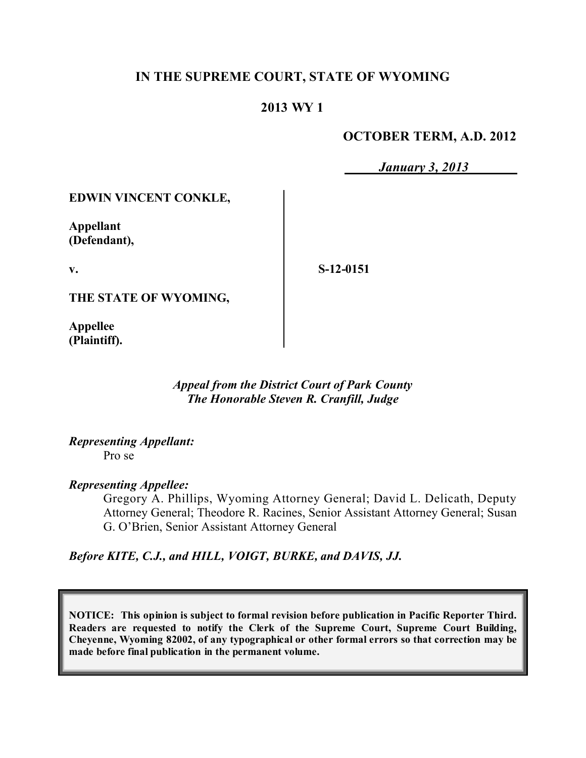### **IN THE SUPREME COURT, STATE OF WYOMING**

### **2013 WY 1**

### **OCTOBER TERM, A.D. 2012**

*January 3, 2013*

#### **EDWIN VINCENT CONKLE,**

**Appellant (Defendant),**

**v.**

**S-12-0151**

**THE STATE OF WYOMING,**

**Appellee (Plaintiff).**

> *Appeal from the District Court of Park County The Honorable Steven R. Cranfill, Judge*

*Representing Appellant:* Pro se

*Representing Appellee:*

Gregory A. Phillips, Wyoming Attorney General; David L. Delicath, Deputy Attorney General; Theodore R. Racines, Senior Assistant Attorney General; Susan G. O'Brien, Senior Assistant Attorney General

*Before KITE, C.J., and HILL, VOIGT, BURKE, and DAVIS, JJ.*

**NOTICE: This opinion is subject to formal revision before publication in Pacific Reporter Third. Readers are requested to notify the Clerk of the Supreme Court, Supreme Court Building, Cheyenne, Wyoming 82002, of any typographical or other formal errors so that correction may be made before final publication in the permanent volume.**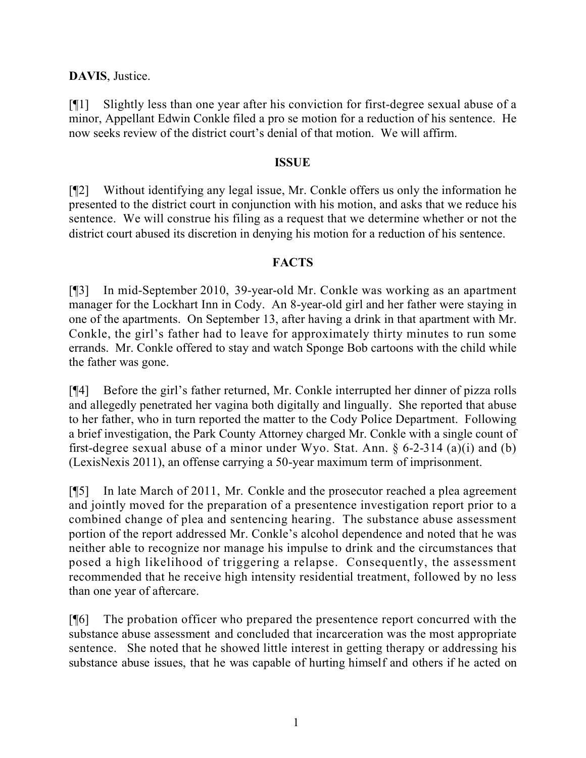### **DAVIS**, Justice.

[¶1] Slightly less than one year after his conviction for first-degree sexual abuse of a minor, Appellant Edwin Conkle filed a pro se motion for a reduction of his sentence. He now seeks review of the district court's denial of that motion. We will affirm.

#### **ISSUE**

[¶2] Without identifying any legal issue, Mr. Conkle offers us only the information he presented to the district court in conjunction with his motion, and asks that we reduce his sentence. We will construe his filing as a request that we determine whether or not the district court abused its discretion in denying his motion for a reduction of his sentence.

#### **FACTS**

[¶3] In mid-September 2010, 39-year-old Mr. Conkle was working as an apartment manager for the Lockhart Inn in Cody. An 8-year-old girl and her father were staying in one of the apartments. On September 13, after having a drink in that apartment with Mr. Conkle, the girl's father had to leave for approximately thirty minutes to run some errands. Mr. Conkle offered to stay and watch Sponge Bob cartoons with the child while the father was gone.

[¶4] Before the girl's father returned, Mr. Conkle interrupted her dinner of pizza rolls and allegedly penetrated her vagina both digitally and lingually. She reported that abuse to her father, who in turn reported the matter to the Cody Police Department. Following a brief investigation, the Park County Attorney charged Mr. Conkle with a single count of first-degree sexual abuse of a minor under Wyo. Stat. Ann.  $\S$  6-2-314 (a)(i) and (b) (LexisNexis 2011), an offense carrying a 50-year maximum term of imprisonment.

[¶5] In late March of 2011, Mr. Conkle and the prosecutor reached a plea agreement and jointly moved for the preparation of a presentence investigation report prior to a combined change of plea and sentencing hearing. The substance abuse assessment portion of the report addressed Mr. Conkle's alcohol dependence and noted that he was neither able to recognize nor manage his impulse to drink and the circumstances that posed a high likelihood of triggering a relapse. Consequently, the assessment recommended that he receive high intensity residential treatment, followed by no less than one year of aftercare.

[¶6] The probation officer who prepared the presentence report concurred with the substance abuse assessment and concluded that incarceration was the most appropriate sentence. She noted that he showed little interest in getting therapy or addressing his substance abuse issues, that he was capable of hurting himself and others if he acted on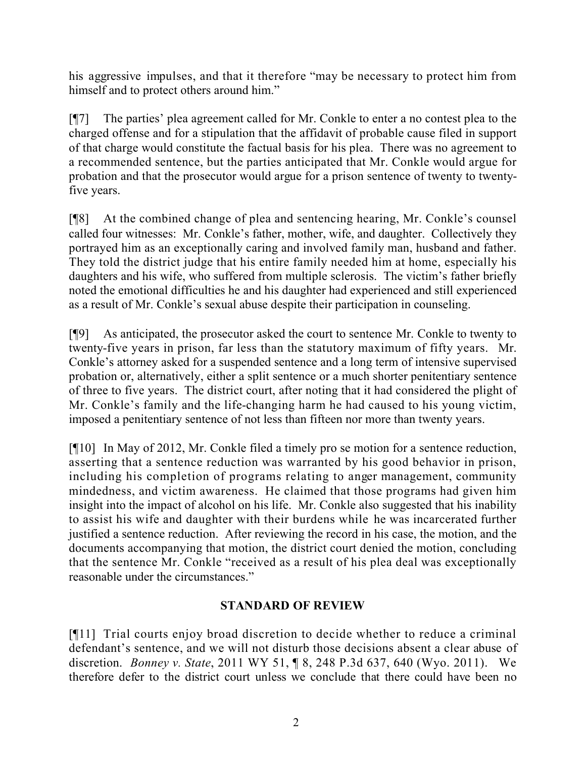his aggressive impulses, and that it therefore "may be necessary to protect him from himself and to protect others around him."

[¶7] The parties' plea agreement called for Mr. Conkle to enter a no contest plea to the charged offense and for a stipulation that the affidavit of probable cause filed in support of that charge would constitute the factual basis for his plea. There was no agreement to a recommended sentence, but the parties anticipated that Mr. Conkle would argue for probation and that the prosecutor would argue for a prison sentence of twenty to twentyfive years.

[¶8] At the combined change of plea and sentencing hearing, Mr. Conkle's counsel called four witnesses: Mr. Conkle's father, mother, wife, and daughter. Collectively they portrayed him as an exceptionally caring and involved family man, husband and father. They told the district judge that his entire family needed him at home, especially his daughters and his wife, who suffered from multiple sclerosis. The victim's father briefly noted the emotional difficulties he and his daughter had experienced and still experienced as a result of Mr. Conkle's sexual abuse despite their participation in counseling.

[¶9] As anticipated, the prosecutor asked the court to sentence Mr. Conkle to twenty to twenty-five years in prison, far less than the statutory maximum of fifty years. Mr. Conkle's attorney asked for a suspended sentence and a long term of intensive supervised probation or, alternatively, either a split sentence or a much shorter penitentiary sentence of three to five years. The district court, after noting that it had considered the plight of Mr. Conkle's family and the life-changing harm he had caused to his young victim, imposed a penitentiary sentence of not less than fifteen nor more than twenty years.

[¶10] In May of 2012, Mr. Conkle filed a timely pro se motion for a sentence reduction, asserting that a sentence reduction was warranted by his good behavior in prison, including his completion of programs relating to anger management, community mindedness, and victim awareness. He claimed that those programs had given him insight into the impact of alcohol on his life. Mr. Conkle also suggested that his inability to assist his wife and daughter with their burdens while he was incarcerated further justified a sentence reduction. After reviewing the record in his case, the motion, and the documents accompanying that motion, the district court denied the motion, concluding that the sentence Mr. Conkle "received as a result of his plea deal was exceptionally reasonable under the circumstances."

# **STANDARD OF REVIEW**

[¶11] Trial courts enjoy broad discretion to decide whether to reduce a criminal defendant's sentence, and we will not disturb those decisions absent a clear abuse of discretion. *Bonney v. State*, 2011 WY 51, ¶ 8, 248 P.3d 637, 640 (Wyo. 2011). We therefore defer to the district court unless we conclude that there could have been no